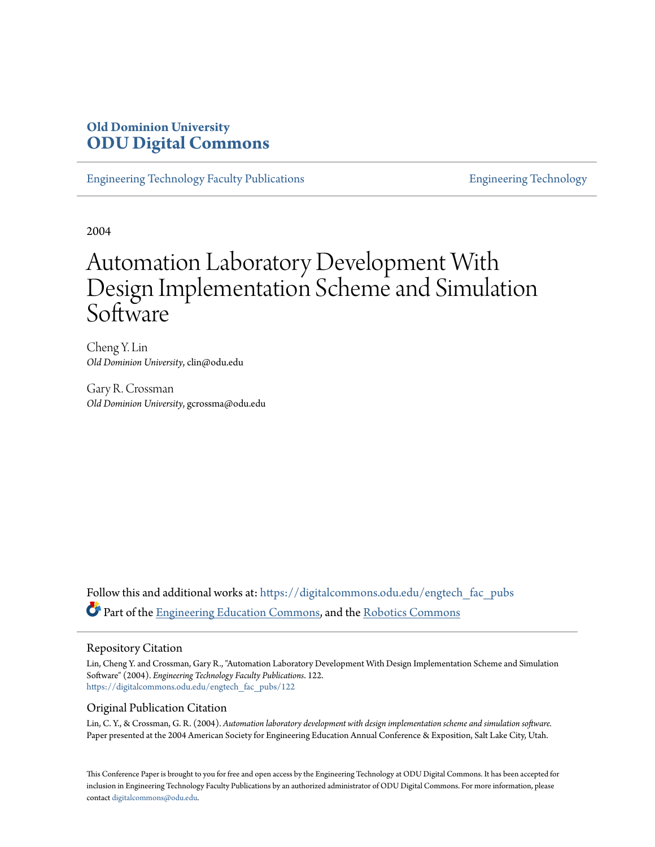# **Old Dominion University [ODU Digital Commons](https://digitalcommons.odu.edu?utm_source=digitalcommons.odu.edu%2Fengtech_fac_pubs%2F122&utm_medium=PDF&utm_campaign=PDFCoverPages)**

[Engineering Technology Faculty Publications](https://digitalcommons.odu.edu/engtech_fac_pubs?utm_source=digitalcommons.odu.edu%2Fengtech_fac_pubs%2F122&utm_medium=PDF&utm_campaign=PDFCoverPages) [Engineering Technology](https://digitalcommons.odu.edu/engtech?utm_source=digitalcommons.odu.edu%2Fengtech_fac_pubs%2F122&utm_medium=PDF&utm_campaign=PDFCoverPages)

2004

# Automation Laboratory Development With Design Implementation Scheme and Simulation Software

Cheng Y. Lin *Old Dominion University*, clin@odu.edu

Gary R. Crossman *Old Dominion University*, gcrossma@odu.edu

Follow this and additional works at: [https://digitalcommons.odu.edu/engtech\\_fac\\_pubs](https://digitalcommons.odu.edu/engtech_fac_pubs?utm_source=digitalcommons.odu.edu%2Fengtech_fac_pubs%2F122&utm_medium=PDF&utm_campaign=PDFCoverPages) Part of the [Engineering Education Commons](http://network.bepress.com/hgg/discipline/1191?utm_source=digitalcommons.odu.edu%2Fengtech_fac_pubs%2F122&utm_medium=PDF&utm_campaign=PDFCoverPages), and the [Robotics Commons](http://network.bepress.com/hgg/discipline/264?utm_source=digitalcommons.odu.edu%2Fengtech_fac_pubs%2F122&utm_medium=PDF&utm_campaign=PDFCoverPages)

#### Repository Citation

Lin, Cheng Y. and Crossman, Gary R., "Automation Laboratory Development With Design Implementation Scheme and Simulation Software" (2004). *Engineering Technology Faculty Publications*. 122. [https://digitalcommons.odu.edu/engtech\\_fac\\_pubs/122](https://digitalcommons.odu.edu/engtech_fac_pubs/122?utm_source=digitalcommons.odu.edu%2Fengtech_fac_pubs%2F122&utm_medium=PDF&utm_campaign=PDFCoverPages)

#### Original Publication Citation

Lin, C. Y., & Crossman, G. R. (2004). *Automation laboratory development with design implementation scheme and simulation software.* Paper presented at the 2004 American Society for Engineering Education Annual Conference & Exposition, Salt Lake City, Utah.

This Conference Paper is brought to you for free and open access by the Engineering Technology at ODU Digital Commons. It has been accepted for inclusion in Engineering Technology Faculty Publications by an authorized administrator of ODU Digital Commons. For more information, please contact [digitalcommons@odu.edu](mailto:digitalcommons@odu.edu).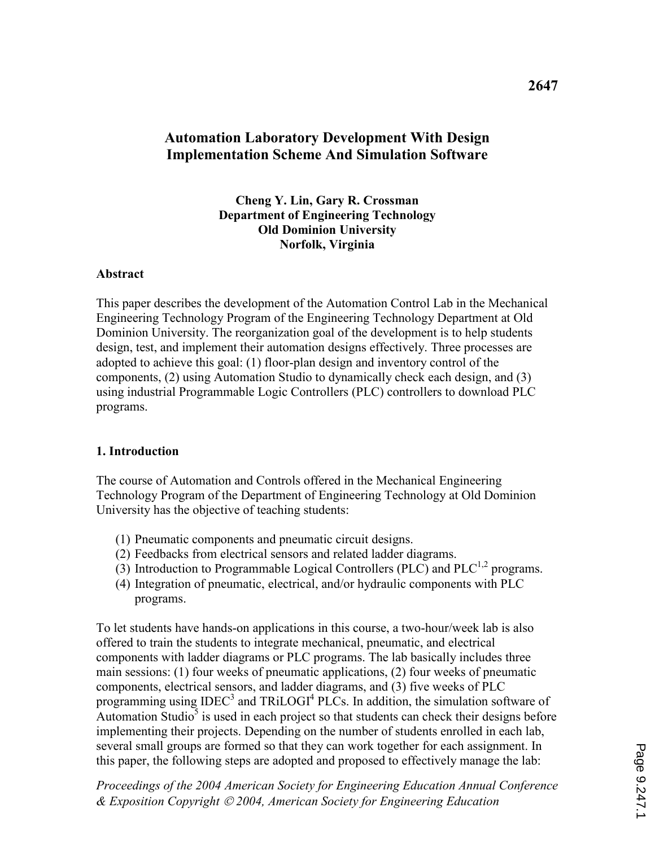# Automation Laboratory Development With Design Implementation Scheme And Simulation Software

#### Cheng Y. Lin, Gary R. Crossman Department of Engineering Technology Old Dominion University Norfolk, Virginia

#### **Abstract**

This paper describes the development of the Automation Control Lab in the Mechanical Engineering Technology Program of the Engineering Technology Department at Old Dominion University. The reorganization goal of the development is to help students design, test, and implement their automation designs effectively. Three processes are adopted to achieve this goal: (1) floor-plan design and inventory control of the components, (2) using Automation Studio to dynamically check each design, and (3) using industrial Programmable Logic Controllers (PLC) controllers to download PLC programs.

#### 1. Introduction

The course of Automation and Controls offered in the Mechanical Engineering Technology Program of the Department of Engineering Technology at Old Dominion University has the objective of teaching students:

- (1) Pneumatic components and pneumatic circuit designs.
- (2) Feedbacks from electrical sensors and related ladder diagrams.
- (3) Introduction to Programmable Logical Controllers (PLC) and  $PLC^{1,2}$  programs.
- (4) Integration of pneumatic, electrical, and/or hydraulic components with PLC programs.

To let students have hands-on applications in this course, a two-hour/week lab is also offered to train the students to integrate mechanical, pneumatic, and electrical components with ladder diagrams or PLC programs. The lab basically includes three main sessions: (1) four weeks of pneumatic applications, (2) four weeks of pneumatic components, electrical sensors, and ladder diagrams, and (3) five weeks of PLC programming using  $IDEC<sup>3</sup>$  and  $TRiLOGI<sup>4</sup>PLCs$ . In addition, the simulation software of Automation Studio $\overline{5}$  is used in each project so that students can check their designs before implementing their projects. Depending on the number of students enrolled in each lab, several small groups are formed so that they can work together for each assignment. In this paper, the following steps are adopted and proposed to effectively manage the lab: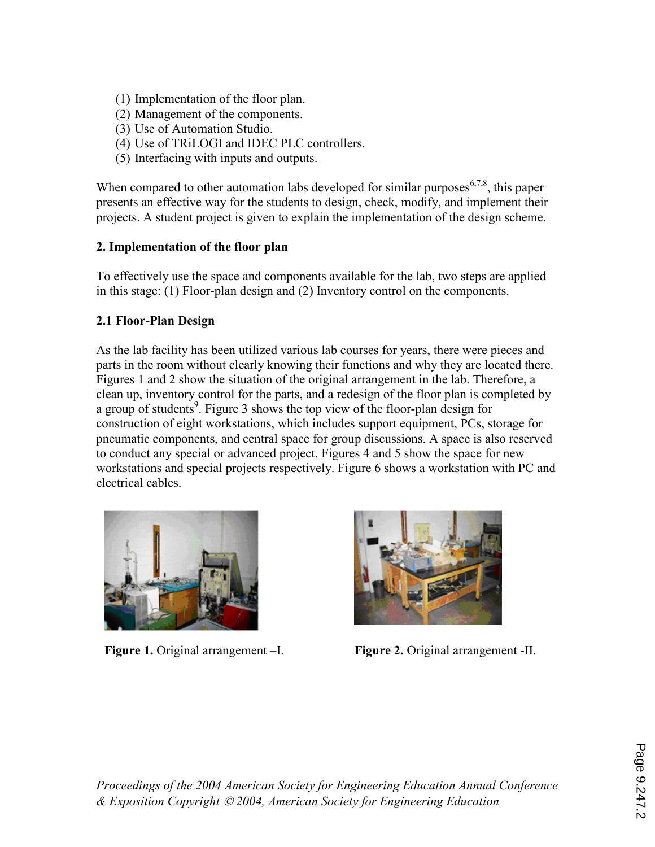- (1) Implementation of the floor plan.
- (2) Management of the components.
- (3) Use of Automation Studio.
- (4) Use of TRiLOGI and IDEC PLC controllers.
- (5) Interfacing with inputs and outputs.

When compared to other automation labs developed for similar purposes<sup> $6,7,8$ </sup>, this paper presents an effective way for the students to design, check, modify, and implement their projects. A student project is given to explain the implementation of the design scheme.

### 2. Implementation of the floor plan

To effectively use the space and components available for the lab, two steps are applied in this stage: (1) Floor-plan design and (2) Inventory control on the components.

### 2.1 Floor-Plan Design

As the lab facility has been utilized various lab courses for years, there were pieces and parts in the room without clearly knowing their functions and why they are located there. Figures 1 and 2 show the situation of the original arrangement in the lab. Therefore, a clean up, inventory control for the parts, and a redesign of the floor plan is completed by a group of students<sup>9</sup>. Figure 3 shows the top view of the floor-plan design for construction of eight workstations, which includes support equipment, PCs, storage for pneumatic components, and central space for group discussions. A space is also reserved to conduct any special or advanced project. Figures 4 and 5 show the space for new workstations and special projects respectively. Figure 6 shows a workstation with PC and electrical cables.





Figure 1. Original arrangement -I. Figure 2. Original arrangement -II.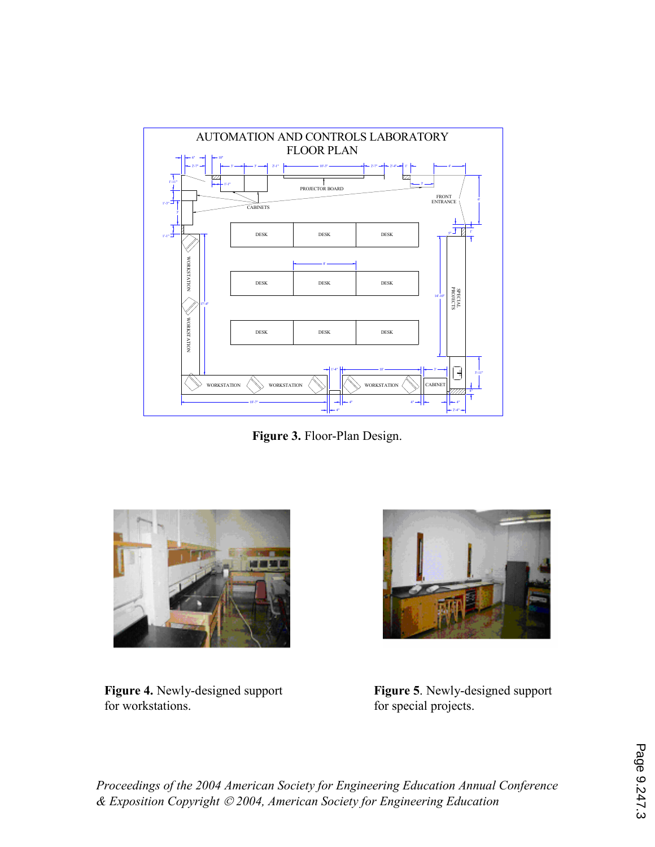

Figure 3. Floor-Plan Design.



Figure 4. Newly-designed support for workstations.



Figure 5. Newly-designed support for special projects.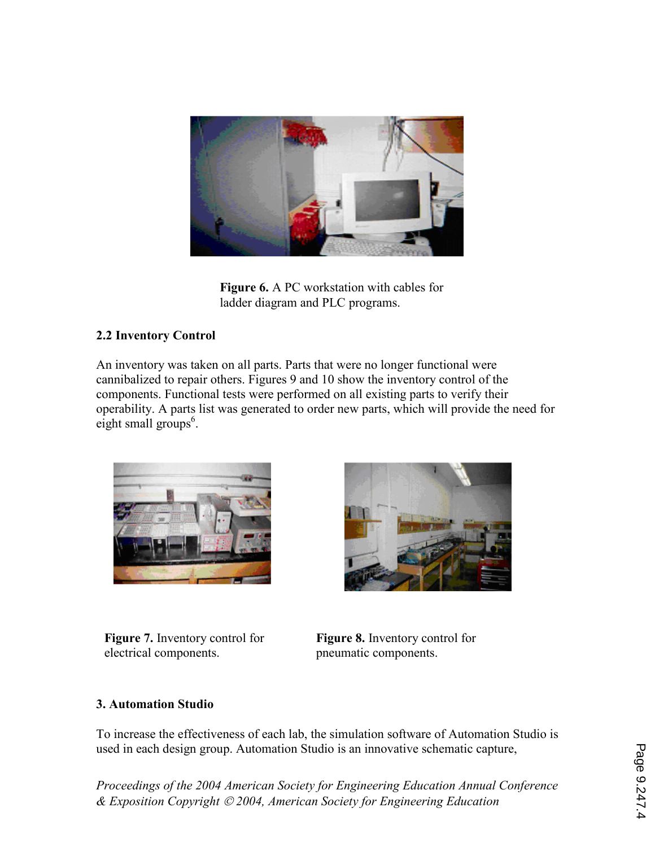

Figure 6. A PC workstation with cables for ladder diagram and PLC programs.

### 2.2 Inventory Control

An inventory was taken on all parts. Parts that were no longer functional were cannibalized to repair others. Figures 9 and 10 show the inventory control of the components. Functional tests were performed on all existing parts to verify their operability. A parts list was generated to order new parts, which will provide the need for eight small groups<sup>6</sup>.



Figure 7. Inventory control for electrical components.



Figure 8. Inventory control for pneumatic components.

### 3. Automation Studio

To increase the effectiveness of each lab, the simulation software of Automation Studio is used in each design group. Automation Studio is an innovative schematic capture,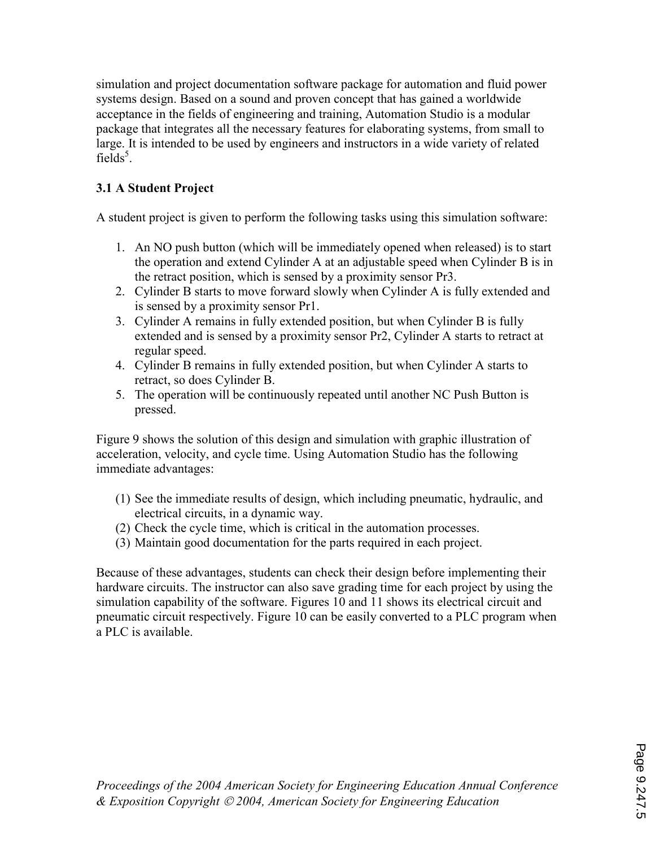simulation and project documentation software package for automation and fluid power systems design. Based on a sound and proven concept that has gained a worldwide acceptance in the fields of engineering and training, Automation Studio is a modular package that integrates all the necessary features for elaborating systems, from small to large. It is intended to be used by engineers and instructors in a wide variety of related fields<sup>5</sup>.

# 3.1 A Student Project

A student project is given to perform the following tasks using this simulation software:

- 1. An NO push button (which will be immediately opened when released) is to start the operation and extend Cylinder A at an adjustable speed when Cylinder B is in the retract position, which is sensed by a proximity sensor Pr3.
- 2. Cylinder B starts to move forward slowly when Cylinder A is fully extended and is sensed by a proximity sensor Pr1.
- 3. Cylinder A remains in fully extended position, but when Cylinder B is fully extended and is sensed by a proximity sensor Pr2, Cylinder A starts to retract at regular speed.
- 4. Cylinder B remains in fully extended position, but when Cylinder A starts to retract, so does Cylinder B.
- 5. The operation will be continuously repeated until another NC Push Button is pressed.

Figure 9 shows the solution of this design and simulation with graphic illustration of acceleration, velocity, and cycle time. Using Automation Studio has the following immediate advantages:

- (1) See the immediate results of design, which including pneumatic, hydraulic, and electrical circuits, in a dynamic way.
- (2) Check the cycle time, which is critical in the automation processes.
- (3) Maintain good documentation for the parts required in each project.

Because of these advantages, students can check their design before implementing their hardware circuits. The instructor can also save grading time for each project by using the simulation capability of the software. Figures 10 and 11 shows its electrical circuit and pneumatic circuit respectively. Figure 10 can be easily converted to a PLC program when a PLC is available.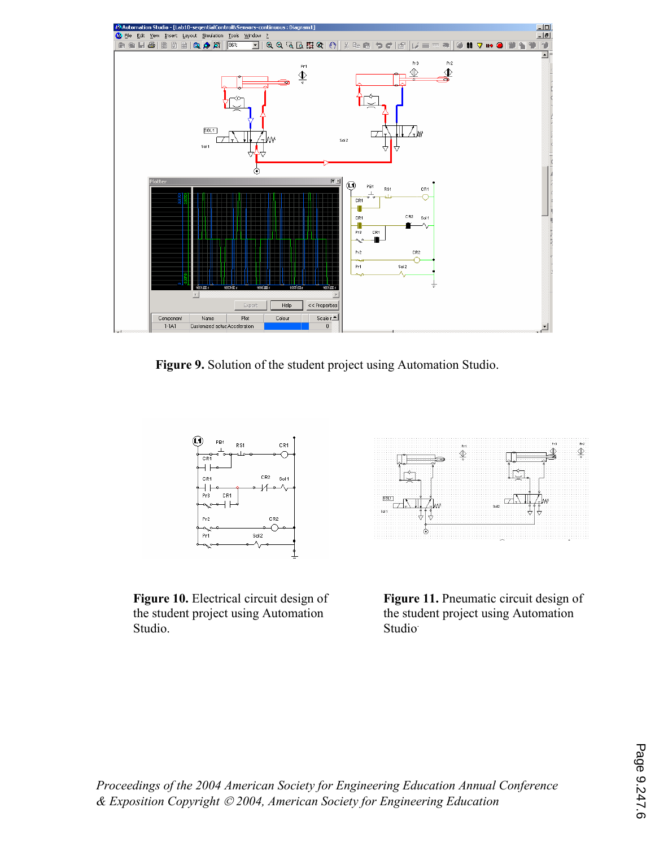

Figure 9. Solution of the student project using Automation Studio.



 $5011$ 反面的 Ò

Figure 10. Electrical circuit design of the student project using Automation Studio.

Figure 11. Pneumatic circuit design of the student project using Automation Studio<sup>.</sup>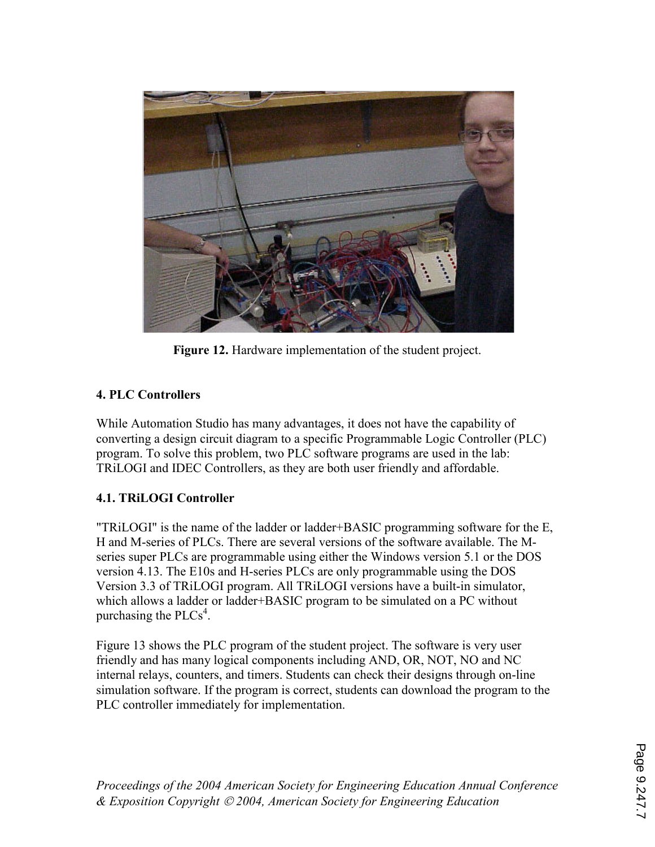

Figure 12. Hardware implementation of the student project.

# 4. PLC Controllers

While Automation Studio has many advantages, it does not have the capability of converting a design circuit diagram to a specific Programmable Logic Controller (PLC) program. To solve this problem, two PLC software programs are used in the lab: TRiLOGI and IDEC Controllers, as they are both user friendly and affordable.

# 4.1. TRiLOGI Controller

"TRiLOGI" is the name of the ladder or ladder+BASIC programming software for the E, H and M-series of PLCs. There are several versions of the software available. The Mseries super PLCs are programmable using either the Windows version 5.1 or the DOS version 4.13. The E10s and H-series PLCs are only programmable using the DOS Version 3.3 of TRiLOGI program. All TRiLOGI versions have a built-in simulator, which allows a ladder or ladder+BASIC program to be simulated on a PC without purchasing the  $PLCs<sup>4</sup>$ .

Figure 13 shows the PLC program of the student project. The software is very user friendly and has many logical components including AND, OR, NOT, NO and NC internal relays, counters, and timers. Students can check their designs through on-line simulation software. If the program is correct, students can download the program to the PLC controller immediately for implementation.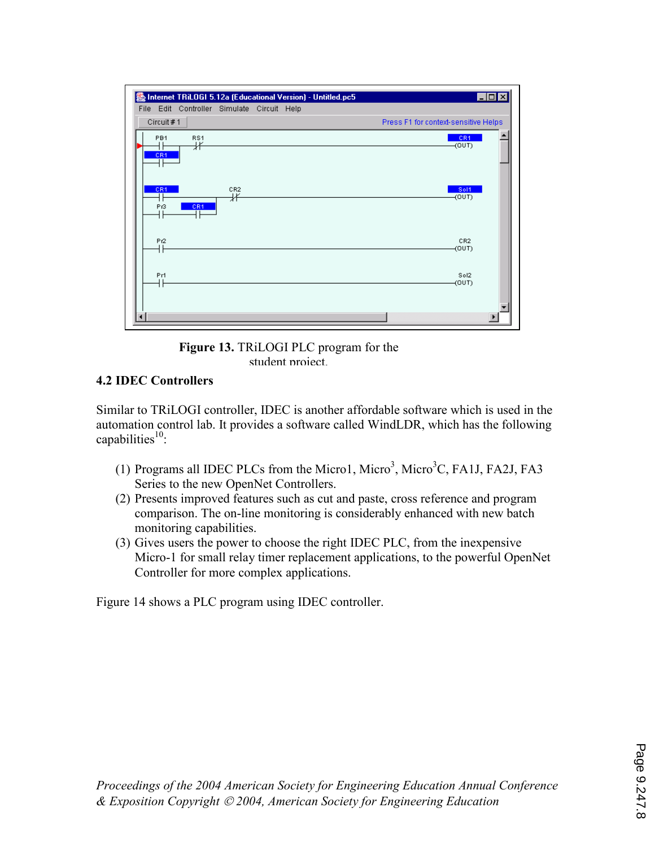

Figure 13. TRiLOGI PLC program for the student project

### 4.2 IDEC Controllers

Similar to TRiLOGI controller, IDEC is another affordable software which is used in the automation control lab. It provides a software called WindLDR, which has the following capabilities $10$ :

- (1) Programs all IDEC PLCs from the Micro1, Micro<sup>3</sup>, Micro<sup>3</sup>C, FA1J, FA2J, FA3 Series to the new OpenNet Controllers.
- (2) Presents improved features such as cut and paste, cross reference and program comparison. The on-line monitoring is considerably enhanced with new batch monitoring capabilities.
- (3) Gives users the power to choose the right IDEC PLC, from the inexpensive Micro-1 for small relay timer replacement applications, to the powerful OpenNet Controller for more complex applications.

Figure 14 shows a PLC program using IDEC controller.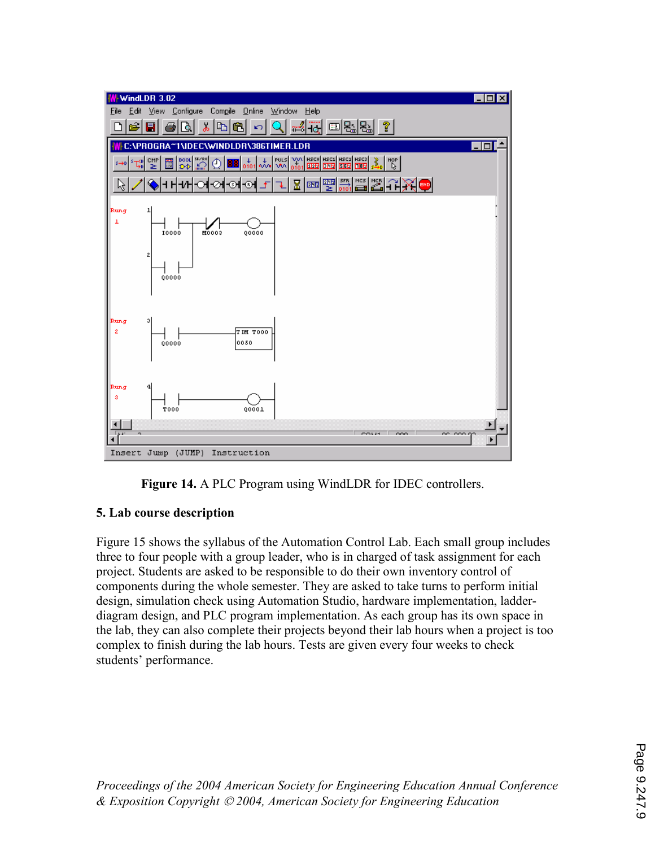



### 5. Lab course description

Figure 15 shows the syllabus of the Automation Control Lab. Each small group includes three to four people with a group leader, who is in charged of task assignment for each project. Students are asked to be responsible to do their own inventory control of components during the whole semester. They are asked to take turns to perform initial design, simulation check using Automation Studio, hardware implementation, ladderdiagram design, and PLC program implementation. As each group has its own space in the lab, they can also complete their projects beyond their lab hours when a project is too complex to finish during the lab hours. Tests are given every four weeks to check students' performance.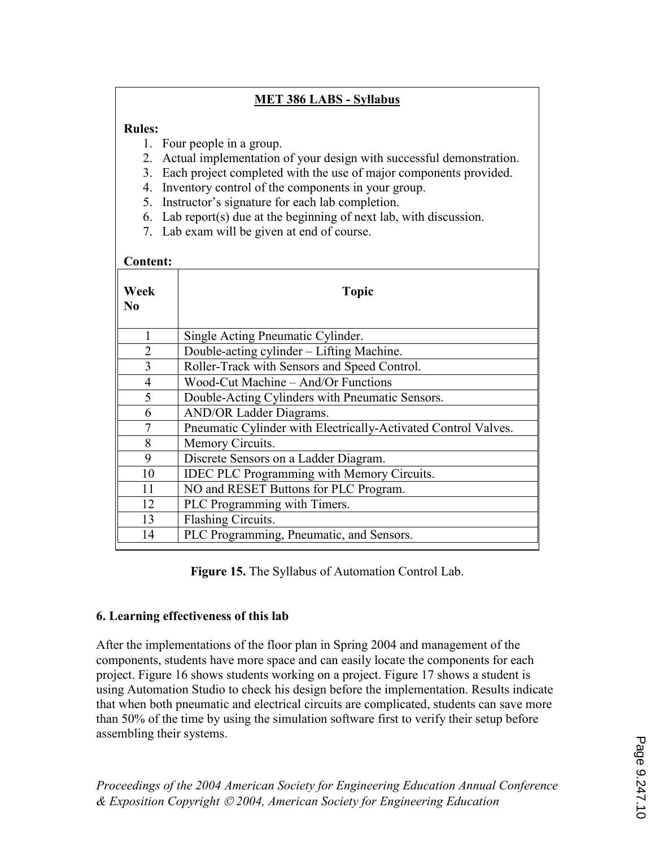### MET 386 LABS - Syllabus

### Rules:

- 1. Four people in a group.
- 2. Actual implementation of your design with successful demonstration.
- 3. Each project completed with the use of major components provided.
- 4. Inventory control of the components in your group.
- 5. Instructor's signature for each lab completion.
- 6. Lab report(s) due at the beginning of next lab, with discussion.
- 7. Lab exam will be given at end of course.

#### Content:

| Week<br>No     | <b>Topic</b>                                                   |
|----------------|----------------------------------------------------------------|
| 1              | Single Acting Pneumatic Cylinder.                              |
| $\overline{2}$ | Double-acting cylinder - Lifting Machine.                      |
| 3              | Roller-Track with Sensors and Speed Control.                   |
| $\overline{4}$ | Wood-Cut Machine - And/Or Functions                            |
| 5              | Double-Acting Cylinders with Pneumatic Sensors.                |
| 6              | <b>AND/OR Ladder Diagrams.</b>                                 |
| $\overline{7}$ | Pneumatic Cylinder with Electrically-Activated Control Valves. |
| 8              | Memory Circuits.                                               |
| 9              | Discrete Sensors on a Ladder Diagram.                          |
| 10             | <b>IDEC PLC Programming with Memory Circuits.</b>              |
| 11             | NO and RESET Buttons for PLC Program.                          |
| 12             | PLC Programming with Timers.                                   |
| 13             | Flashing Circuits.                                             |
| 14             | PLC Programming, Pneumatic, and Sensors.                       |

Figure 15. The Syllabus of Automation Control Lab.

### 6. Learning effectiveness of this lab

After the implementations of the floor plan in Spring 2004 and management of the components, students have more space and can easily locate the components for each project. Figure 16 shows students working on a project. Figure 17 shows a student is using Automation Studio to check his design before the implementation. Results indicate that when both pneumatic and electrical circuits are complicated, students can save more than 50% of the time by using the simulation software first to verify their setup before assembling their systems.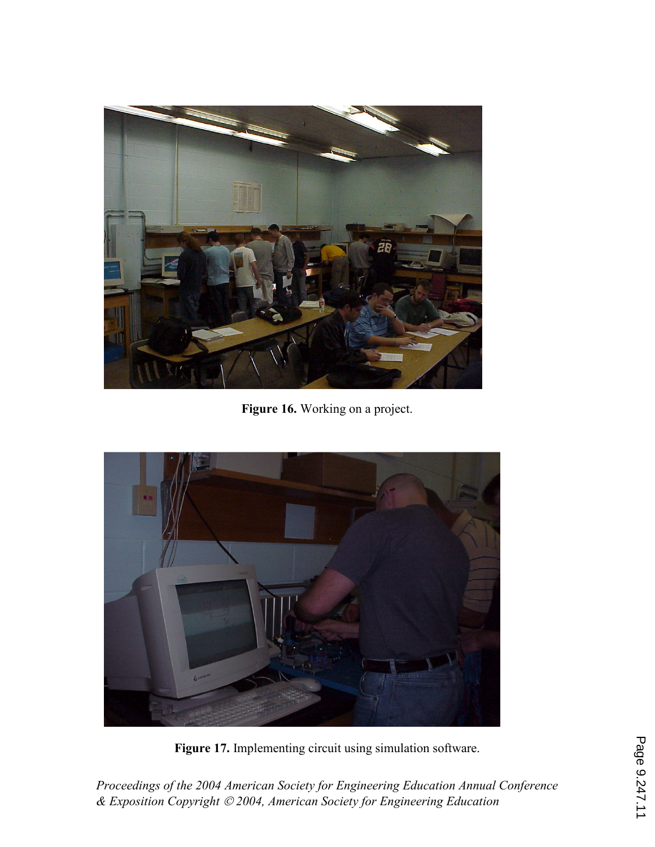

Figure 16. Working on a project.



Figure 17. Implementing circuit using simulation software.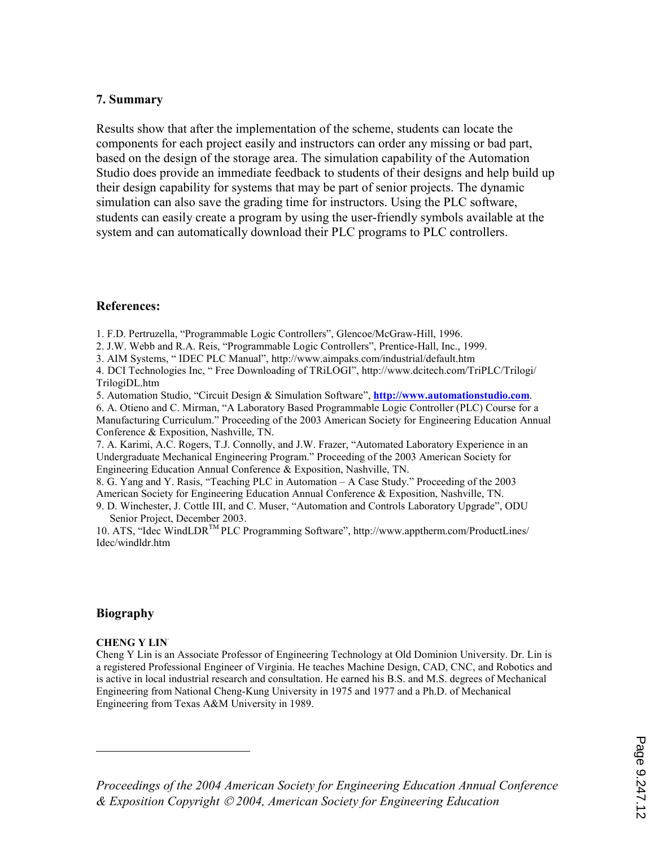#### 7. Summary

Results show that after the implementation of the scheme, students can locate the components for each project easily and instructors can order any missing or bad part, based on the design of the storage area. The simulation capability of the Automation Studio does provide an immediate feedback to students of their designs and help build up their design capability for systems that may be part of senior projects. The dynamic simulation can also save the grading time for instructors. Using the PLC software, students can easily create a program by using the user-friendly symbols available at the system and can automatically download their PLC programs to PLC controllers.

#### References:

1. F.D. Pertruzella, "Programmable Logic Controllers", Glencoe/McGraw-Hill, 1996.

- 2. J.W. Webb and R.A. Reis, "Programmable Logic Controllers", Prentice-Hall, Inc., 1999.
- 3. AIM Systems, " IDEC PLC Manual", http://www.aimpaks.com/industrial/default.htm

4. DCI Technologies Inc, " Free Downloading of TRiLOGI", http://www.dcitech.com/TriPLC/Trilogi/ TrilogiDL.htm

5. Automation Studio, "Circuit Design & Simulation Software", http://www.automationstudio.com.

6. A. Otieno and C. Mirman, "A Laboratory Based Programmable Logic Controller (PLC) Course for a Manufacturing Curriculum." Proceeding of the 2003 American Society for Engineering Education Annual Conference & Exposition, Nashville, TN.

7. A. Karimi, A.C. Rogers, T.J. Connolly, and J.W. Frazer, "Automated Laboratory Experience in an Undergraduate Mechanical Engineering Program." Proceeding of the 2003 American Society for Engineering Education Annual Conference & Exposition, Nashville, TN.

8. G. Yang and Y. Rasis, "Teaching PLC in Automation – A Case Study." Proceeding of the 2003 American Society for Engineering Education Annual Conference & Exposition, Nashville, TN. 9. D. Winchester, J. Cottle III, and C. Muser, "Automation and Controls Laboratory Upgrade", ODU

Senior Project, December 2003.

10. ATS, "Idec WindLDRTM PLC Programming Software", http://www.apptherm.com/ProductLines/ Idec/windldr.htm

#### Biography

<u>.</u>

#### **CHENG Y LIN**

Cheng Y Lin is an Associate Professor of Engineering Technology at Old Dominion University. Dr. Lin is a registered Professional Engineer of Virginia. He teaches Machine Design, CAD, CNC, and Robotics and is active in local industrial research and consultation. He earned his B.S. and M.S. degrees of Mechanical Engineering from National Cheng-Kung University in 1975 and 1977 and a Ph.D. of Mechanical Engineering from Texas A&M University in 1989.